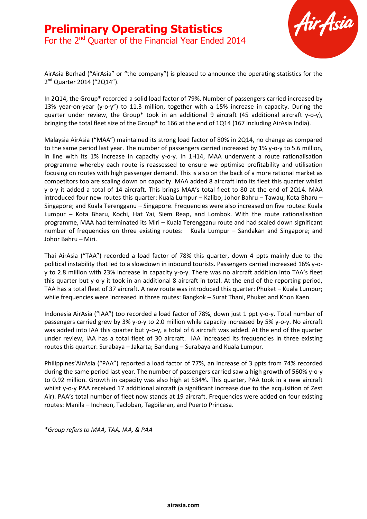

AirAsia Berhad ("AirAsia" or "the company") is pleased to announce the operating statistics for the 2<sup>nd</sup> Quarter 2014 ("2Q14").

In 2Q14, the Group\* recorded a solid load factor of 79%. Number of passengers carried increased by 13% year-on-year (y-o-y") to 11.3 million, together with a 15% increase in capacity. During the quarter under review, the Group\* took in an additional 9 aircraft (45 additional aircraft y-o-y), bringing the total fleet size of the Group\* to 166 at the end of 1Q14 (167 including AirAsia India).

Malaysia AirAsia ("MAA") maintained its strong load factor of 80% in 2Q14, no change as compared to the same period last year. The number of passengers carried increased by 1% y-o-y to 5.6 million, in line with its 1% increase in capacity y-o-y. In 1H14, MAA underwent a route rationalisation programme whereby each route is reassessed to ensure we optimise profitability and utilisation focusing on routes with high passenger demand. This is also on the back of a more rational market as competitors too are scaling down on capacity. MAA added 8 aircraft into its fleet this quarter whilst y-o-y it added a total of 14 aircraft. This brings MAA's total fleet to 80 at the end of 2Q14. MAA introduced four new routes this quarter: Kuala Lumpur – Kalibo; Johor Bahru – Tawau; Kota Bharu – Singapore; and Kuala Terengganu – Singapore. Frequencies were also increased on five routes: Kuala Lumpur – Kota Bharu, Kochi, Hat Yai, Siem Reap, and Lombok. With the route rationalisation programme, MAA had terminated its Miri – Kuala Terengganu route and had scaled down significant number of frequencies on three existing routes: Kuala Lumpur – Sandakan and Singapore; and Johor Bahru – Miri.

Thai AirAsia ("TAA") recorded a load factor of 78% this quarter, down 4 ppts mainly due to the political instability that led to a slowdown in inbound tourists. Passengers carried increased 16% y-oy to 2.8 million with 23% increase in capacity y-o-y. There was no aircraft addition into TAA's fleet this quarter but y-o-y it took in an additional 8 aircraft in total. At the end of the reporting period, TAA has a total fleet of 37 aircraft. A new route was introduced this quarter: Phuket – Kuala Lumpur; while frequencies were increased in three routes: Bangkok – Surat Thani, Phuket and Khon Kaen.

Indonesia AirAsia ("IAA") too recorded a load factor of 78%, down just 1 ppt y-o-y. Total number of passengers carried grew by 3% y-o-y to 2.0 million while capacity increased by 5% y-o-y. No aircraft was added into IAA this quarter but y-o-y, a total of 6 aircraft was added. At the end of the quarter under review, IAA has a total fleet of 30 aircraft. IAA increased its frequencies in three existing routes this quarter: Surabaya – Jakarta; Bandung – Surabaya and Kuala Lumpur.

Philippines'AirAsia ("PAA") reported a load factor of 77%, an increase of 3 ppts from 74% recorded during the same period last year. The number of passengers carried saw a high growth of 560% y-o-y to 0.92 million. Growth in capacity was also high at 534%. This quarter, PAA took in a new aircraft whilst y-o-y PAA received 17 additional aircraft (a significant increase due to the acquisition of Zest Air). PAA's total number of fleet now stands at 19 aircraft. Frequencies were added on four existing routes: Manila – Incheon, Tacloban, Tagbilaran, and Puerto Princesa.

*\*Group refers to MAA, TAA, IAA, & PAA*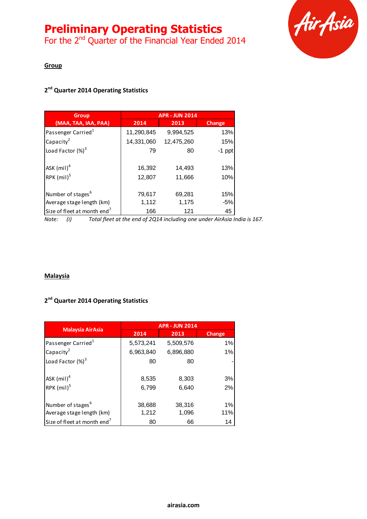# **Preliminary Operating Statistics**

For the 2<sup>nd</sup> Quarter of the Financial Year Ended 2014



# **Group**

# **2 nd Quarter 2014 Operating Statistics**

| <b>Group</b>                                               | <b>APR - JUN 2014</b> |                  |               |
|------------------------------------------------------------|-----------------------|------------------|---------------|
| (MAA, TAA, IAA, PAA)                                       | 2014                  | 2013             | <b>Change</b> |
| Passenger Carried <sup>1</sup>                             | 11,290,845            | 9,994,525        | 13%           |
| Capacity <sup>2</sup>                                      | 14,331,060            | 12,475,260       | 15%           |
| Load Factor $(\%)^3$                                       | 79                    | 80               | $-1$ ppt      |
| ASK $(mil)^4$<br>RPK $(mil)^5$                             | 16,392<br>12,807      | 14,493<br>11,666 | 13%<br>10%    |
| Number of stages <sup>6</sup><br>Average stage length (km) | 79,617<br>1,112       | 69,281<br>1,175  | 15%<br>$-5%$  |
| Size of fleet at month end <sup>7</sup>                    | 166                   | 121              | 45            |

*Note: (i) Total fleet at the end of 2Q14 including one under AirAsia India is 167.*

#### **Malaysia**

## **2 nd Quarter 2014 Operating Statistics**

|                                         | <b>APR - JUN 2014</b> |           |        |
|-----------------------------------------|-----------------------|-----------|--------|
| <b>Malaysia AirAsia</b>                 | 2014                  | 2013      | Change |
| Passenger Carried <sup>1</sup>          | 5,573,241             | 5,509,576 | 1%     |
| Capacity <sup>2</sup>                   | 6,963,840             | 6,896,880 | 1%     |
| Load Factor $(\%)^3$                    | 80                    | 80        |        |
|                                         |                       |           |        |
| $ASK$ (mil) <sup>4</sup>                | 8,535                 | 8,303     | 3%     |
| RPK $(mil)^5$                           | 6,799                 | 6,640     | 2%     |
|                                         |                       |           |        |
| Number of stages <sup>6</sup>           | 38,688                | 38,316    | 1%     |
| Average stage length (km)               | 1,212                 | 1,096     | 11%    |
| Size of fleet at month end <sup>7</sup> | 80                    | 66        | 14     |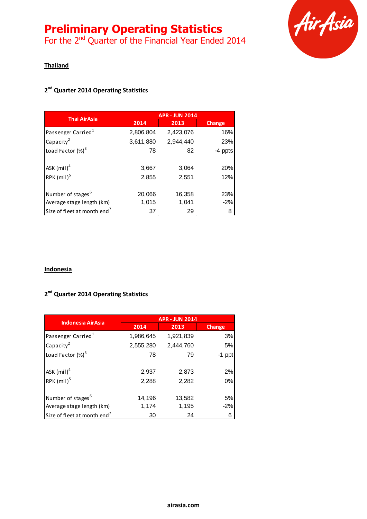# **Preliminary Operating Statistics**

For the 2<sup>nd</sup> Quarter of the Financial Year Ended 2014



# **Thailand**

# **2 nd Quarter 2014 Operating Statistics**

| <b>Thai AirAsia</b>                       | <b>APR - JUN 2014</b> |                |            |
|-------------------------------------------|-----------------------|----------------|------------|
|                                           | 2014                  | 2013           | Change     |
| Passenger Carried <sup>1</sup>            | 2,806,804             | 2,423,076      | 16%        |
| Capacity <sup>2</sup>                     | 3,611,880             | 2,944,440      | 23%        |
| Load Factor $(\%)^3$                      | 78                    | 82             | -4 ppts    |
| $ASK$ (mil) <sup>4</sup><br>RPK $(mil)^5$ | 3,667<br>2,855        | 3,064<br>2,551 | 20%<br>12% |
| Number of stages <sup>6</sup>             | 20,066                | 16,358         | 23%        |
| Average stage length (km)                 | 1,015                 | 1,041          | $-2%$      |
| Size of fleet at month end <sup>7</sup>   | 37                    | 29             | 8          |

# **Indonesia**

### **2 nd Quarter 2014 Operating Statistics**

|                                         | <b>APR - JUN 2014</b> |           |          |
|-----------------------------------------|-----------------------|-----------|----------|
| <b>Indonesia AirAsia</b>                | 2014                  | 2013      | Change   |
| Passenger Carried <sup>1</sup>          | 1,986,645             | 1,921,839 | 3%       |
| Capacity <sup>2</sup>                   | 2,555,280             | 2,444,760 | 5%       |
| Load Factor $(\%)^3$                    | 78                    | 79        | $-1$ ppt |
|                                         |                       |           |          |
| $ASK$ (mil) <sup>4</sup>                | 2,937                 | 2,873     | 2%       |
| RPK $(mil)^5$                           | 2,288                 | 2,282     | 0%       |
|                                         |                       |           |          |
| Number of stages <sup>6</sup>           | 14,196                | 13,582    | 5%       |
| Average stage length (km)               | 1,174                 | 1,195     | $-2%$    |
| Size of fleet at month end <sup>7</sup> | 30                    | 24        | 6        |